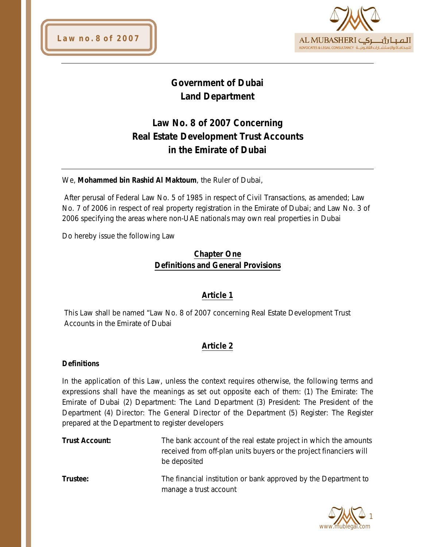



# **Government of Dubai Land Department**

# **Law No. 8 of 2007 Concerning Real Estate Development Trust Accounts in the Emirate of Dubai**

We, **Mohammed bin Rashid Al Maktoum**, the Ruler of Dubai,

After perusal of Federal Law No. 5 of 1985 in respect of Civil Transactions, as amended; Law No. 7 of 2006 in respect of real property registration in the Emirate of Dubai; and Law No. 3 of 2006 specifying the areas where non-UAE nationals may own real properties in Dubai

Do hereby issue the following Law

## **Chapter One Definitions and General Provisions**

## **Article 1**

This Law shall be named "Law No. 8 of 2007 concerning Real Estate Development Trust Accounts in the Emirate of Dubai

## **Article 2**

#### **Definitions**

In the application of this Law, unless the context requires otherwise, the following terms and expressions shall have the meanings as set out opposite each of them: (1) The Emirate: The Emirate of Dubai (2) Department: The Land Department (3) President: The President of the Department (4) Director: The General Director of the Department (5) Register: The Register prepared at the Department to register developers

- **Trust Account:** The bank account of the real estate project in which the amounts received from off-plan units buyers or the project financiers will be deposited
- **Trustee:** The financial institution or bank approved by the Department to manage a trust account

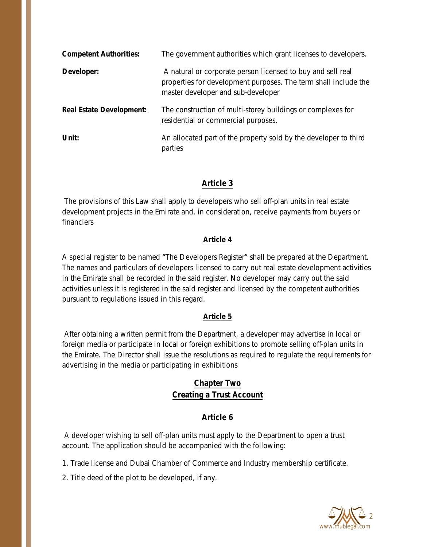| <b>Competent Authorities:</b>   | The government authorities which grant licenses to developers.                                                                                                       |
|---------------------------------|----------------------------------------------------------------------------------------------------------------------------------------------------------------------|
| Developer:                      | A natural or corporate person licensed to buy and sell real<br>properties for development purposes. The term shall include the<br>master developer and sub-developer |
| <b>Real Estate Development:</b> | The construction of multi-storey buildings or complexes for<br>residential or commercial purposes.                                                                   |
| Unit:                           | An allocated part of the property sold by the developer to third<br>parties                                                                                          |

## **Article 3**

The provisions of this Law shall apply to developers who sell off-plan units in real estate development projects in the Emirate and, in consideration, receive payments from buyers or financiers

#### **Article 4**

A special register to be named "The Developers Register" shall be prepared at the Department. The names and particulars of developers licensed to carry out real estate development activities in the Emirate shall be recorded in the said register. No developer may carry out the said activities unless it is registered in the said register and licensed by the competent authorities pursuant to regulations issued in this regard.

#### **Article 5**

After obtaining a written permit from the Department, a developer may advertise in local or foreign media or participate in local or foreign exhibitions to promote selling off-plan units in the Emirate. The Director shall issue the resolutions as required to regulate the requirements for advertising in the media or participating in exhibitions

## **Chapter Two Creating a Trust Account**

## **Article 6**

A developer wishing to sell off-plan units must apply to the Department to open a trust account. The application should be accompanied with the following:

1. Trade license and Dubai Chamber of Commerce and Industry membership certificate.

2. Title deed of the plot to be developed, if any.

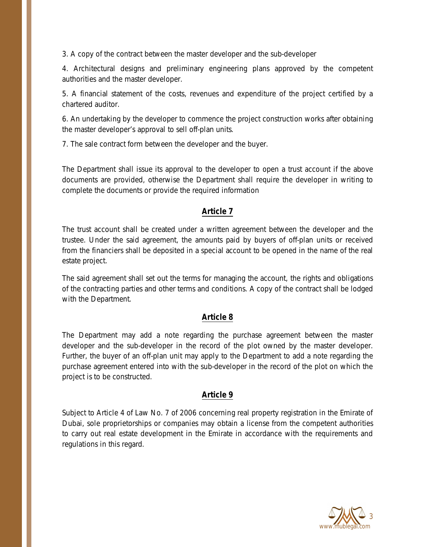3. A copy of the contract between the master developer and the sub-developer

4. Architectural designs and preliminary engineering plans approved by the competent authorities and the master developer.

5. A financial statement of the costs, revenues and expenditure of the project certified by a chartered auditor.

6. An undertaking by the developer to commence the project construction works after obtaining the master developer's approval to sell off-plan units.

7. The sale contract form between the developer and the buyer.

The Department shall issue its approval to the developer to open a trust account if the above documents are provided, otherwise the Department shall require the developer in writing to complete the documents or provide the required information

#### **Article 7**

The trust account shall be created under a written agreement between the developer and the trustee. Under the said agreement, the amounts paid by buyers of off-plan units or received from the financiers shall be deposited in a special account to be opened in the name of the real estate project.

The said agreement shall set out the terms for managing the account, the rights and obligations of the contracting parties and other terms and conditions. A copy of the contract shall be lodged with the Department.

#### **Article 8**

The Department may add a note regarding the purchase agreement between the master developer and the sub-developer in the record of the plot owned by the master developer. Further, the buyer of an off-plan unit may apply to the Department to add a note regarding the purchase agreement entered into with the sub-developer in the record of the plot on which the project is to be constructed.

#### **Article 9**

Subject to Article 4 of Law No. 7 of 2006 concerning real property registration in the Emirate of Dubai, sole proprietorships or companies may obtain a license from the competent authorities to carry out real estate development in the Emirate in accordance with the requirements and regulations in this regard.

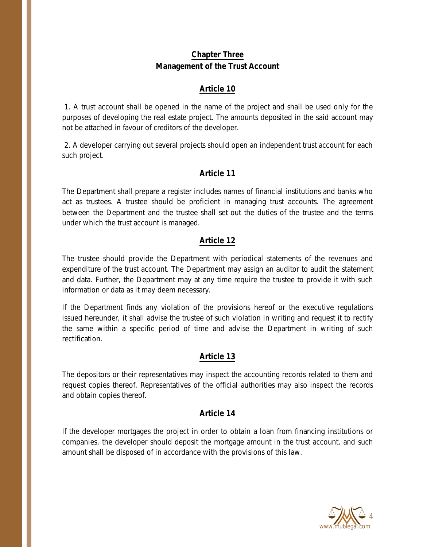# **Chapter Three Management of the Trust Account**

## **Article 10**

1. A trust account shall be opened in the name of the project and shall be used only for the purposes of developing the real estate project. The amounts deposited in the said account may not be attached in favour of creditors of the developer.

2. A developer carrying out several projects should open an independent trust account for each such project.

## **Article 11**

The Department shall prepare a register includes names of financial institutions and banks who act as trustees. A trustee should be proficient in managing trust accounts. The agreement between the Department and the trustee shall set out the duties of the trustee and the terms under which the trust account is managed.

#### **Article 12**

The trustee should provide the Department with periodical statements of the revenues and expenditure of the trust account. The Department may assign an auditor to audit the statement and data. Further, the Department may at any time require the trustee to provide it with such information or data as it may deem necessary.

If the Department finds any violation of the provisions hereof or the executive regulations issued hereunder, it shall advise the trustee of such violation in writing and request it to rectify the same within a specific period of time and advise the Department in writing of such rectification.

#### **Article 13**

The depositors or their representatives may inspect the accounting records related to them and request copies thereof. Representatives of the official authorities may also inspect the records and obtain copies thereof.

## **Article 14**

If the developer mortgages the project in order to obtain a loan from financing institutions or companies, the developer should deposit the mortgage amount in the trust account, and such amount shall be disposed of in accordance with the provisions of this law.

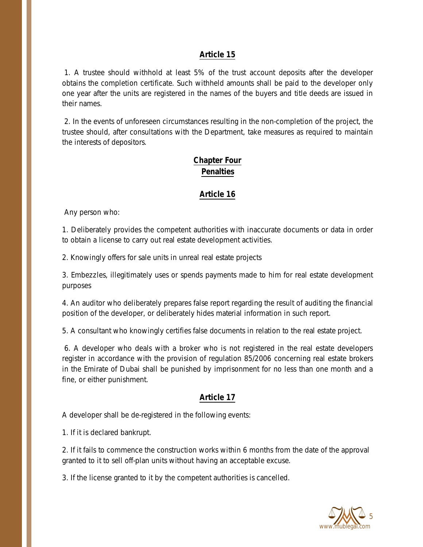#### **Article 15**

1. A trustee should withhold at least 5% of the trust account deposits after the developer obtains the completion certificate. Such withheld amounts shall be paid to the developer only one year after the units are registered in the names of the buyers and title deeds are issued in their names.

2. In the events of unforeseen circumstances resulting in the non-completion of the project, the trustee should, after consultations with the Department, take measures as required to maintain the interests of depositors.

# **Chapter Four Penalties**

### **Article 16**

Any person who:

1. Deliberately provides the competent authorities with inaccurate documents or data in order to obtain a license to carry out real estate development activities.

2. Knowingly offers for sale units in unreal real estate projects

3. Embezzles, illegitimately uses or spends payments made to him for real estate development purposes

4. An auditor who deliberately prepares false report regarding the result of auditing the financial position of the developer, or deliberately hides material information in such report.

5. A consultant who knowingly certifies false documents in relation to the real estate project.

6. A developer who deals with a broker who is not registered in the real estate developers register in accordance with the provision of regulation 85/2006 concerning real estate brokers in the Emirate of Dubai shall be punished by imprisonment for no less than one month and a fine, or either punishment.

#### **Article 17**

A developer shall be de-registered in the following events:

1. If it is declared bankrupt.

2. If it fails to commence the construction works within 6 months from the date of the approval granted to it to sell off-plan units without having an acceptable excuse.

3. If the license granted to it by the competent authorities is cancelled.